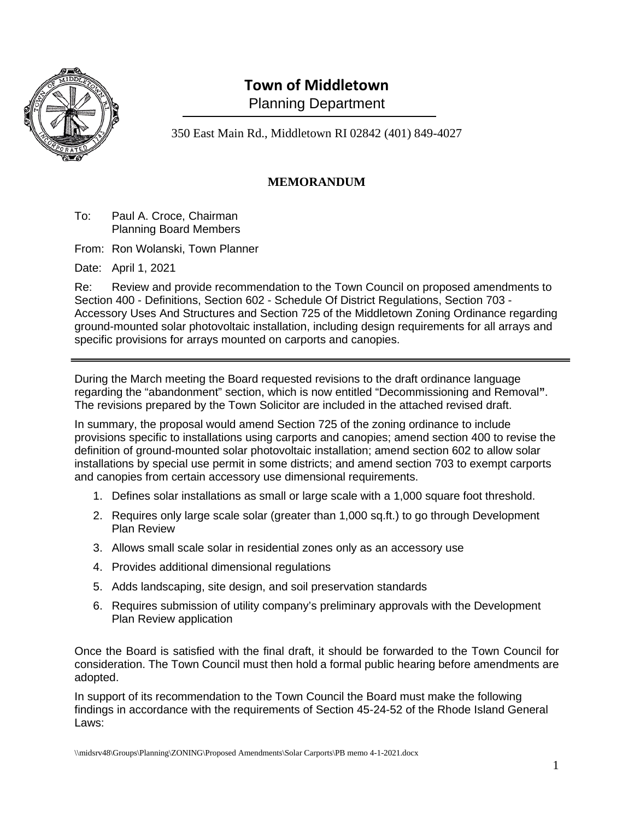

# **Town of Middletown**

Planning Department

350 East Main Rd., Middletown RI 02842 (401) 849-4027

### **MEMORANDUM**

To: Paul A. Croce, Chairman Planning Board Members

From: Ron Wolanski, Town Planner

Date: April 1, 2021

Re: Review and provide recommendation to the Town Council on proposed amendments to Section 400 - Definitions, Section 602 - Schedule Of District Regulations, Section 703 - Accessory Uses And Structures and Section 725 of the Middletown Zoning Ordinance regarding ground-mounted solar photovoltaic installation, including design requirements for all arrays and specific provisions for arrays mounted on carports and canopies.

During the March meeting the Board requested revisions to the draft ordinance language regarding the "abandonment" section, which is now entitled "Decommissioning and Removal**"**. The revisions prepared by the Town Solicitor are included in the attached revised draft.

In summary, the proposal would amend Section 725 of the zoning ordinance to include provisions specific to installations using carports and canopies; amend section 400 to revise the definition of ground-mounted solar photovoltaic installation; amend section 602 to allow solar installations by special use permit in some districts; and amend section 703 to exempt carports and canopies from certain accessory use dimensional requirements.

- 1. Defines solar installations as small or large scale with a 1,000 square foot threshold.
- 2. Requires only large scale solar (greater than 1,000 sq.ft.) to go through Development Plan Review
- 3. Allows small scale solar in residential zones only as an accessory use
- 4. Provides additional dimensional regulations
- 5. Adds landscaping, site design, and soil preservation standards
- 6. Requires submission of utility company's preliminary approvals with the Development Plan Review application

Once the Board is satisfied with the final draft, it should be forwarded to the Town Council for consideration. The Town Council must then hold a formal public hearing before amendments are adopted.

In support of its recommendation to the Town Council the Board must make the following findings in accordance with the requirements of Section 45-24-52 of the Rhode Island General Laws: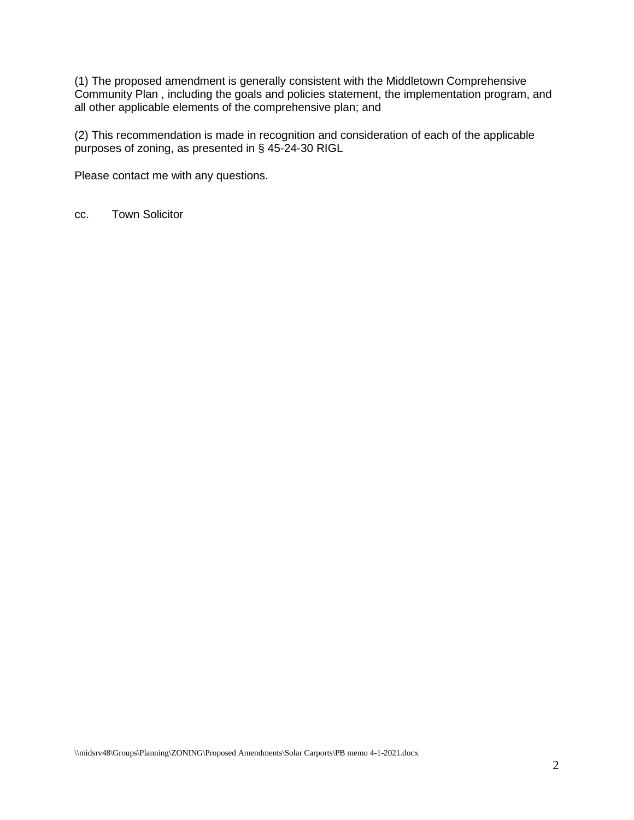(1) The proposed amendment is generally consistent with the Middletown Comprehensive Community Plan , including the goals and policies statement, the implementation program, and all other applicable elements of the comprehensive plan; and

(2) This recommendation is made in recognition and consideration of each of the applicable purposes of zoning, as presented in § 45-24-30 RIGL

Please contact me with any questions.

cc. Town Solicitor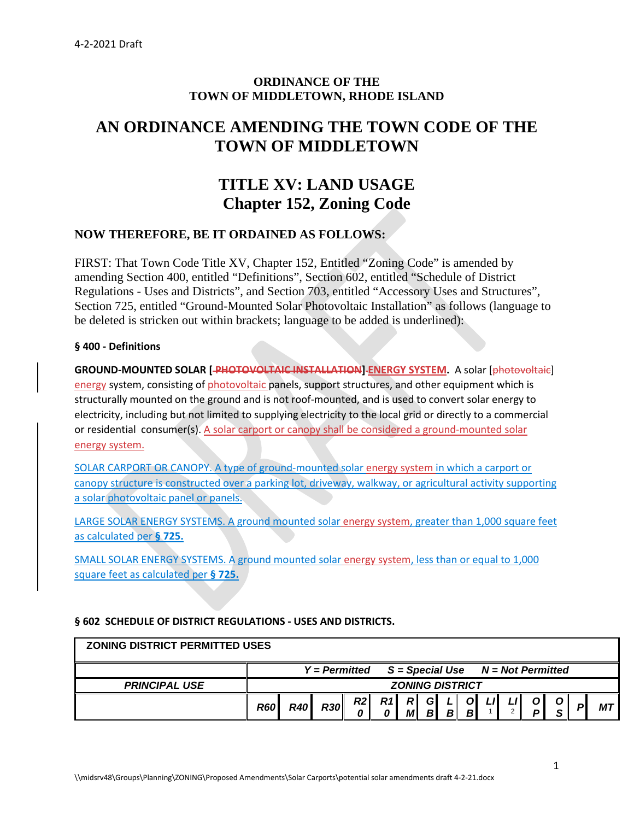#### **ORDINANCE OF THE TOWN OF MIDDLETOWN, RHODE ISLAND**

## **AN ORDINANCE AMENDING THE TOWN CODE OF THE TOWN OF MIDDLETOWN**

## **TITLE XV: LAND USAGE Chapter 152, Zoning Code**

#### **NOW THEREFORE, BE IT ORDAINED AS FOLLOWS:**

FIRST: That Town Code Title XV, Chapter 152, Entitled "Zoning Code" is amended by amending Section 400, entitled "Definitions", Section 602, entitled "Schedule of District Regulations - Uses and Districts", and Section 703, entitled "Accessory Uses and Structures", Section 725, entitled "Ground-Mounted Solar Photovoltaic Installation" as follows (language to be deleted is stricken out within brackets; language to be added is underlined):

#### **§ 400 - Definitions**

**GROUND-MOUNTED SOLAR [ PHOTOVOLTAIC INSTALLATION] ENERGY SYSTEM.** A solar [photovoltaic] energy system, consisting of photovoltaic panels, support structures, and other equipment which is structurally mounted on the ground and is not roof-mounted, and is used to convert solar energy to electricity, including but not limited to supplying electricity to the local grid or directly to a commercial or residential consumer(s). A solar carport or canopy shall be considered a ground-mounted solar energy system.

SOLAR CARPORT OR CANOPY. A type of ground-mounted solar energy system in which a carport or canopy structure is constructed over a parking lot, driveway, walkway, or agricultural activity supporting a solar photovoltaic panel or panels.

LARGE SOLAR ENERGY SYSTEMS. A ground mounted solar energy system, greater than 1,000 square feet as calculated per **§ 725.**

SMALL SOLAR ENERGY SYSTEMS. A ground mounted solar energy system, less than or equal to 1,000 square feet as calculated per **§ 725.**

#### **§ 602 SCHEDULE OF DISTRICT REGULATIONS - USES AND DISTRICTS.**

| <b>ZONING DISTRICT PERMITTED USES</b> |                        |            |                 |    |     |                                       |                     |              |                    |     |  |    |  |    |
|---------------------------------------|------------------------|------------|-----------------|----|-----|---------------------------------------|---------------------|--------------|--------------------|-----|--|----|--|----|
|                                       |                        |            | $Y = Permitted$ |    |     | $S = Special Use$ $N = Not$ Permitted |                     |              |                    |     |  |    |  |    |
| <b>PRINCIPAL USE</b>                  | <b>ZONING DISTRICT</b> |            |                 |    |     |                                       |                     |              |                    |     |  |    |  |    |
|                                       | <b>R60</b>             | <b>R40</b> | R30             | R2 | R1I | R<br>M                                | G<br>B <sub>l</sub> | $\mathbf{B}$ | <sup>o</sup><br>вl | L/I |  | D. |  | МT |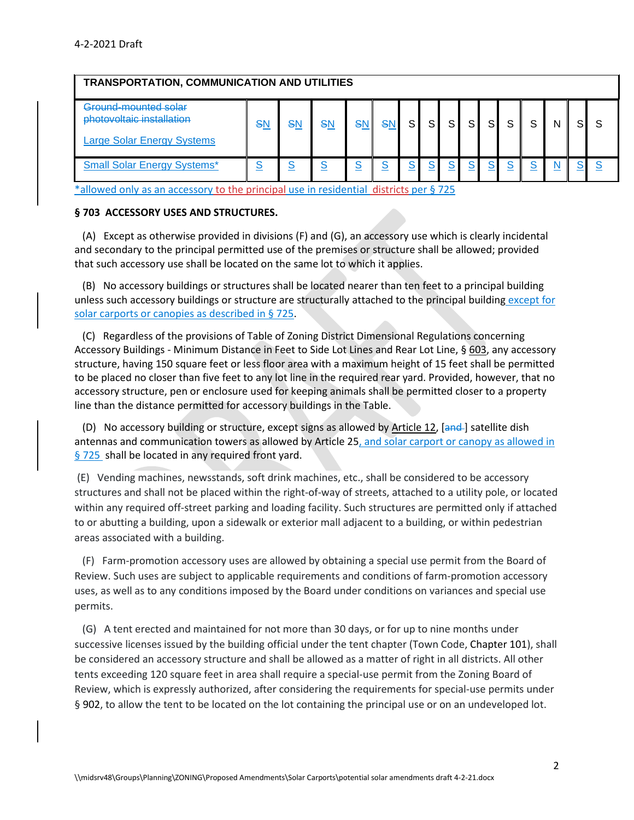| <b>TRANSPORTATION, COMMUNICATION AND UTILITIES</b>                                     |    |    |          |    |                                      |   |     |    |          |          |   |   |  |
|----------------------------------------------------------------------------------------|----|----|----------|----|--------------------------------------|---|-----|----|----------|----------|---|---|--|
| Ground-mounted solar<br>photovoltaic installation<br><b>Large Solar Energy Systems</b> | SN | SN | SN       | S٨ | SΙ                                   | S | S l | S. | SI       | S        | S | N |  |
| <b>Small Solar Energy Systems*</b>                                                     |    |    | <u>s</u> |    | $\underline{\underline{\mathsf{S}}}$ |   | S.  |    | <u>s</u> | <u>s</u> |   |   |  |

\*allowed only as an accessory to the principal use in residential districts per § 725

#### **§ 703 ACCESSORY USES AND STRUCTURES.**

 (A) Except as otherwise provided in divisions (F) and (G), an accessory use which is clearly incidental and secondary to the principal permitted use of the premises or structure shall be allowed; provided that such accessory use shall be located on the same lot to which it applies.

 (B) No accessory buildings or structures shall be located nearer than ten feet to a principal building unless such accessory buildings or structure are structurally attached to the principal building except for solar carports or canopies as described in § 725.

 (C) Regardless of the provisions of Table of Zoning District Dimensional Regulations concerning Accessory Buildings - Minimum Distance in Feet to Side Lot Lines and Rear Lot Line, § [603,](http://library.amlegal.com/nxt/gateway.dll?f=jumplink$jumplink_x=Advanced$jumplink_vpc=first$jumplink_xsl=querylink.xsl$jumplink_sel=title;path;content-type;home-title;item-bookmark$jumplink_d=rhode%20island(middletown_ri)$jumplink_q=%5bfield%20folio-destination-name:%27Ch.%20152%2C%20App.%20A%2C%20Sec.%20603%27%5d$jumplink_md=target-id=JD_Ch.152App.ASec.603) any accessory structure, having 150 square feet or less floor area with a maximum height of 15 feet shall be permitted to be placed no closer than five feet to any lot line in the required rear yard. Provided, however, that no accessory structure, pen or enclosure used for keeping animals shall be permitted closer to a property line than the distance permitted for accessory buildings in the Table.

(D) No accessory building or structure, except signs as allowed by [Article 12,](http://library.amlegal.com/nxt/gateway.dll?f=jumplink$jumplink_x=Advanced$jumplink_vpc=first$jumplink_xsl=querylink.xsl$jumplink_sel=title;path;content-type;home-title;item-bookmark$jumplink_d=rhode%20island(middletown_ri)$jumplink_q=%5bfield%20folio-destination-name:%27Ch.%20152%2C%20App.%20A%2C%20Art.%2012%27%5d$jumplink_md=target-id=JD_Ch.152App.AArt.12) [and-] satellite dish antennas and communication towers as allowed by Article 25, and solar carport or canopy as allowed in § 725 shall be located in any required front yard.

(E) Vending machines, newsstands, soft drink machines, etc., shall be considered to be accessory structures and shall not be placed within the right-of-way of streets, attached to a utility pole, or located within any required off-street parking and loading facility. Such structures are permitted only if attached to or abutting a building, upon a sidewalk or exterior mall adjacent to a building, or within pedestrian areas associated with a building.

 (F) Farm-promotion accessory uses are allowed by obtaining a special use permit from the Board of Review. Such uses are subject to applicable requirements and conditions of farm-promotion accessory uses, as well as to any conditions imposed by the Board under conditions on variances and special use permits.

 (G) A tent erected and maintained for not more than 30 days, or for up to nine months under successive licenses issued by the building official under the tent chapter (Town Code, [Chapter 101\)](https://codelibrary.amlegal.com/codes/middletown/latest/middletown_ri/0-0-0-4797#JD_Chapter101), shall be considered an accessory structure and shall be allowed as a matter of right in all districts. All other tents exceeding 120 square feet in area shall require a special-use permit from the Zoning Board of Review, which is expressly authorized, after considering the requirements for special-use permits under § [902,](https://codelibrary.amlegal.com/codes/middletown/latest/middletown_ri/0-0-0-7383#JD_Ch.152App.ASec.902) to allow the tent to be located on the lot containing the principal use or on an undeveloped lot.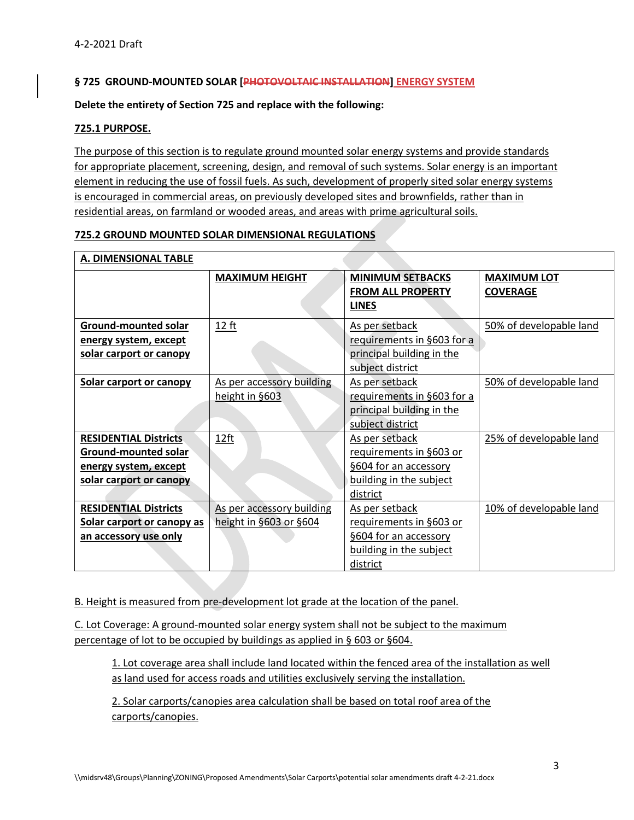#### **§ 725 GROUND-MOUNTED SOLAR [PHOTOVOLTAIC INSTALLATION] ENERGY SYSTEM**

#### **Delete the entirety of Section 725 and replace with the following:**

#### **725.1 PURPOSE.**

The purpose of this section is to regulate ground mounted solar energy systems and provide standards for appropriate placement, screening, design, and removal of such systems. Solar energy is an important element in reducing the use of fossil fuels. As such, development of properly sited solar energy systems is encouraged in commercial areas, on previously developed sites and brownfields, rather than in residential areas, on farmland or wooded areas, and areas with prime agricultural soils.

#### **725.2 GROUND MOUNTED SOLAR DIMENSIONAL REGULATIONS**

| <b>A. DIMENSIONAL TABLE</b>                                                                              |                                                     |                                                                                                           |                                       |
|----------------------------------------------------------------------------------------------------------|-----------------------------------------------------|-----------------------------------------------------------------------------------------------------------|---------------------------------------|
|                                                                                                          | <b>MAXIMUM HEIGHT</b>                               | <b>MINIMUM SETBACKS</b><br><b>FROM ALL PROPERTY</b><br><b>LINES</b>                                       | <b>MAXIMUM LOT</b><br><b>COVERAGE</b> |
| <b>Ground-mounted solar</b><br>energy system, except<br>solar carport or canopy                          | 12 ft                                               | As per setback<br>requirements in §603 for a<br>principal building in the<br>subject district             | 50% of developable land               |
| <b>Solar carport or canopy</b>                                                                           | As per accessory building<br>height in §603         | As per setback<br>requirements in §603 for a<br>principal building in the<br>subject district             | 50% of developable land               |
| <b>RESIDENTIAL Districts</b><br>Ground-mounted solar<br>energy system, except<br>solar carport or canopy | <u>12ft</u>                                         | As per setback<br>requirements in §603 or<br>§604 for an accessory<br>building in the subject<br>district | 25% of developable land               |
| <b>RESIDENTIAL Districts</b><br>Solar carport or canopy as<br>an accessory use only                      | As per accessory building<br>height in §603 or §604 | As per setback<br>requirements in §603 or<br>§604 for an accessory<br>building in the subject<br>district | 10% of developable land               |

B. Height is measured from pre-development lot grade at the location of the panel.

C. Lot Coverage: A ground-mounted solar energy system shall not be subject to the maximum percentage of lot to be occupied by buildings as applied in § 603 or §604.

1. Lot coverage area shall include land located within the fenced area of the installation as well as land used for access roads and utilities exclusively serving the installation.

2. Solar carports/canopies area calculation shall be based on total roof area of the carports/canopies.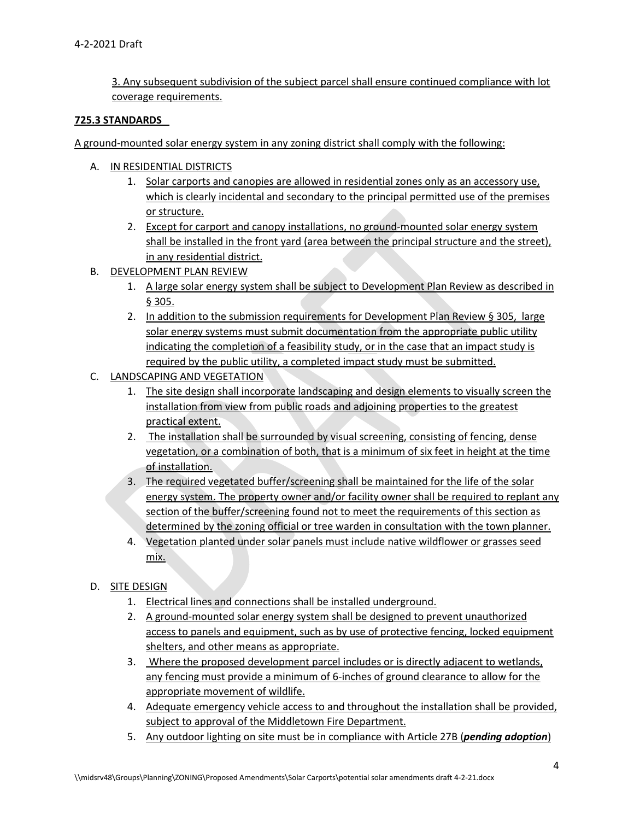3. Any subsequent subdivision of the subject parcel shall ensure continued compliance with lot coverage requirements.

#### **725.3 STANDARDS**

A ground-mounted solar energy system in any zoning district shall comply with the following:

- A. IN RESIDENTIAL DISTRICTS
	- 1. Solar carports and canopies are allowed in residential zones only as an accessory use, which is clearly incidental and secondary to the principal permitted use of the premises or structure.
	- 2. Except for carport and canopy installations, no ground-mounted solar energy system shall be installed in the front yard (area between the principal structure and the street), in any residential district.
- B. DEVELOPMENT PLAN REVIEW
	- 1. A large solar energy system shall be subject to Development Plan Review as described in § 305.
	- 2. In addition to the submission requirements for Development Plan Review § 305, large solar energy systems must submit documentation from the appropriate public utility indicating the completion of a feasibility study, or in the case that an impact study is required by the public utility, a completed impact study must be submitted.
- C. LANDSCAPING AND VEGETATION
	- 1. The site design shall incorporate landscaping and design elements to visually screen the installation from view from public roads and adjoining properties to the greatest practical extent.
	- 2. The installation shall be surrounded by visual screening, consisting of fencing, dense vegetation, or a combination of both, that is a minimum of six feet in height at the time of installation.
	- 3. The required vegetated buffer/screening shall be maintained for the life of the solar energy system. The property owner and/or facility owner shall be required to replant any section of the buffer/screening found not to meet the requirements of this section as determined by the zoning official or tree warden in consultation with the town planner.
	- 4. Vegetation planted under solar panels must include native wildflower or grasses seed mix.

#### D. SITE DESIGN

- 1. Electrical lines and connections shall be installed underground.
- 2. A ground-mounted solar energy system shall be designed to prevent unauthorized access to panels and equipment, such as by use of protective fencing, locked equipment shelters, and other means as appropriate.
- 3. Where the proposed development parcel includes or is directly adjacent to wetlands, any fencing must provide a minimum of 6-inches of ground clearance to allow for the appropriate movement of wildlife.
- 4. Adequate emergency vehicle access to and throughout the installation shall be provided, subject to approval of the Middletown Fire Department.
- 5. Any outdoor lighting on site must be in compliance with Article 27B (*pending adoption*)